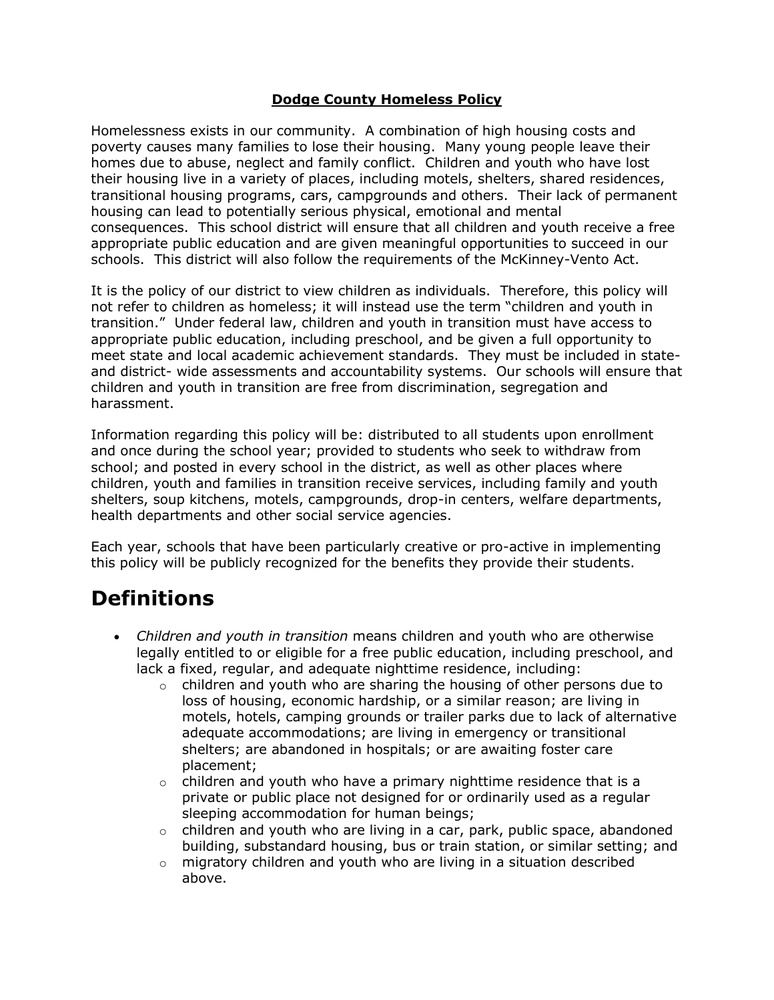#### **Dodge County Homeless Policy**

Homelessness exists in our community. A combination of high housing costs and poverty causes many families to lose their housing. Many young people leave their homes due to abuse, neglect and family conflict. Children and youth who have lost their housing live in a variety of places, including motels, shelters, shared residences, transitional housing programs, cars, campgrounds and others. Their lack of permanent housing can lead to potentially serious physical, emotional and mental consequences. This school district will ensure that all children and youth receive a free appropriate public education and are given meaningful opportunities to succeed in our schools. This district will also follow the requirements of the McKinney-Vento Act.

It is the policy of our district to view children as individuals. Therefore, this policy will not refer to children as homeless; it will instead use the term "children and youth in transition." Under federal law, children and youth in transition must have access to appropriate public education, including preschool, and be given a full opportunity to meet state and local academic achievement standards. They must be included in stateand district- wide assessments and accountability systems. Our schools will ensure that children and youth in transition are free from discrimination, segregation and harassment.

Information regarding this policy will be: distributed to all students upon enrollment and once during the school year; provided to students who seek to withdraw from school; and posted in every school in the district, as well as other places where children, youth and families in transition receive services, including family and youth shelters, soup kitchens, motels, campgrounds, drop-in centers, welfare departments, health departments and other social service agencies.

Each year, schools that have been particularly creative or pro-active in implementing this policy will be publicly recognized for the benefits they provide their students.

### **Definitions**

- *Children and youth in transition* means children and youth who are otherwise legally entitled to or eligible for a free public education, including preschool, and lack a fixed, regular, and adequate nighttime residence, including:
	- $\circ$  children and youth who are sharing the housing of other persons due to loss of housing, economic hardship, or a similar reason; are living in motels, hotels, camping grounds or trailer parks due to lack of alternative adequate accommodations; are living in emergency or transitional shelters; are abandoned in hospitals; or are awaiting foster care placement;
	- $\circ$  children and youth who have a primary nighttime residence that is a private or public place not designed for or ordinarily used as a regular sleeping accommodation for human beings;
	- $\circ$  children and youth who are living in a car, park, public space, abandoned building, substandard housing, bus or train station, or similar setting; and
	- $\circ$  migratory children and youth who are living in a situation described above.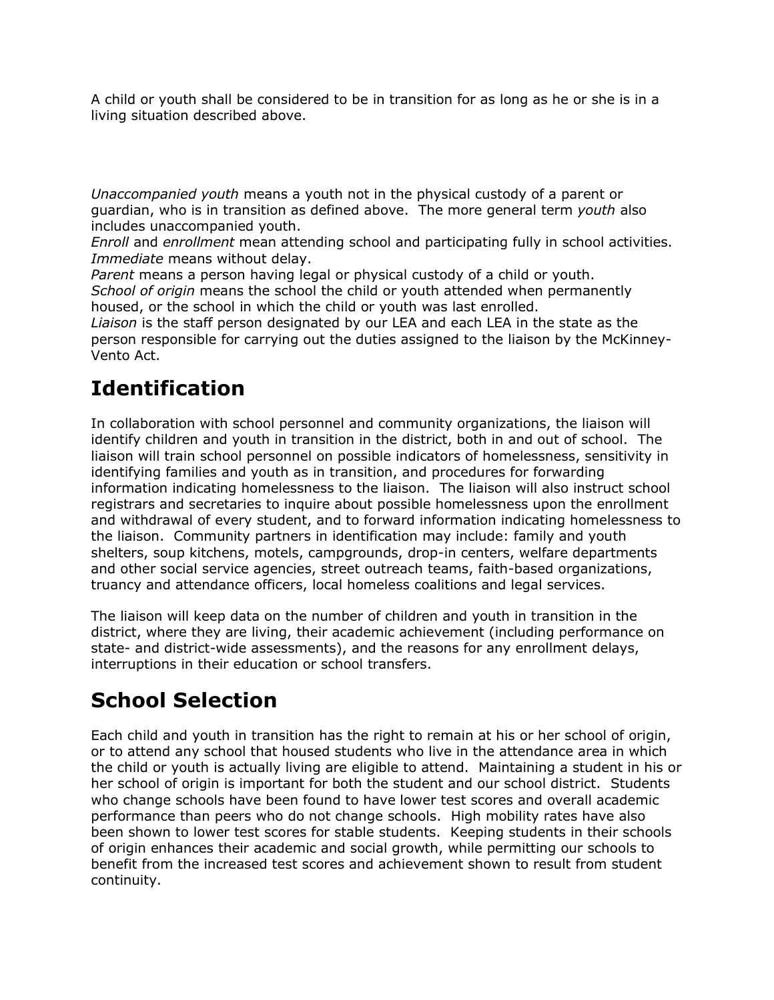A child or youth shall be considered to be in transition for as long as he or she is in a living situation described above.

*Unaccompanied youth* means a youth not in the physical custody of a parent or guardian, who is in transition as defined above. The more general term *youth* also includes unaccompanied youth.

*Enroll* and *enrollment* mean attending school and participating fully in school activities. *Immediate* means without delay.

*Parent* means a person having legal or physical custody of a child or youth.

*School of origin* means the school the child or youth attended when permanently housed, or the school in which the child or youth was last enrolled.

*Liaison* is the staff person designated by our LEA and each LEA in the state as the person responsible for carrying out the duties assigned to the liaison by the McKinney-Vento Act.

## **Identification**

In collaboration with school personnel and community organizations, the liaison will identify children and youth in transition in the district, both in and out of school. The liaison will train school personnel on possible indicators of homelessness, sensitivity in identifying families and youth as in transition, and procedures for forwarding information indicating homelessness to the liaison. The liaison will also instruct school registrars and secretaries to inquire about possible homelessness upon the enrollment and withdrawal of every student, and to forward information indicating homelessness to the liaison. Community partners in identification may include: family and youth shelters, soup kitchens, motels, campgrounds, drop-in centers, welfare departments and other social service agencies, street outreach teams, faith-based organizations, truancy and attendance officers, local homeless coalitions and legal services.

The liaison will keep data on the number of children and youth in transition in the district, where they are living, their academic achievement (including performance on state- and district-wide assessments), and the reasons for any enrollment delays, interruptions in their education or school transfers.

## **School Selection**

Each child and youth in transition has the right to remain at his or her school of origin, or to attend any school that housed students who live in the attendance area in which the child or youth is actually living are eligible to attend. Maintaining a student in his or her school of origin is important for both the student and our school district. Students who change schools have been found to have lower test scores and overall academic performance than peers who do not change schools. High mobility rates have also been shown to lower test scores for stable students. Keeping students in their schools of origin enhances their academic and social growth, while permitting our schools to benefit from the increased test scores and achievement shown to result from student continuity.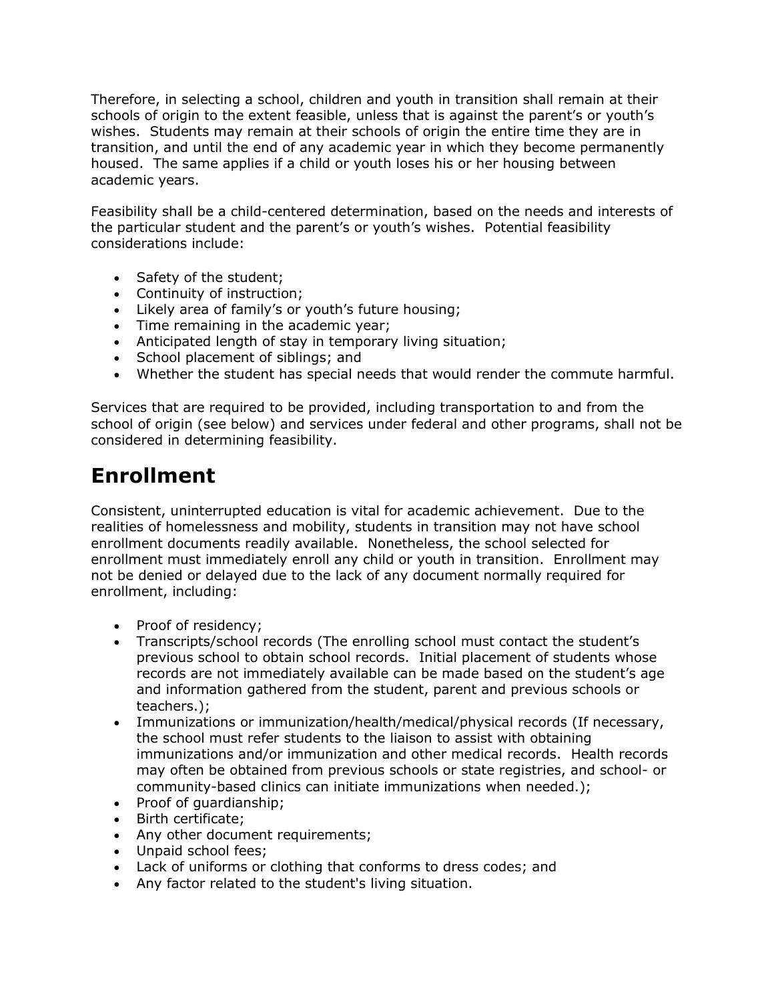Therefore, in selecting a school, children and youth in transition shall remain at their schools of origin to the extent feasible, unless that is against the parent's or youth's wishes. Students may remain at their schools of origin the entire time they are in transition, and until the end of any academic year in which they become permanently housed. The same applies if a child or youth loses his or her housing between academic years.

Feasibility shall be a child-centered determination, based on the needs and interests of the particular student and the parent's or youth's wishes. Potential feasibility considerations include:

- Safety of the student;
- Continuity of instruction;
- Likely area of family's or youth's future housing;
- Time remaining in the academic year;
- Anticipated length of stay in temporary living situation;
- School placement of siblings; and
- Whether the student has special needs that would render the commute harmful.

Services that are required to be provided, including transportation to and from the school of origin (see below) and services under federal and other programs, shall not be considered in determining feasibility.

## **Enrollment**

Consistent, uninterrupted education is vital for academic achievement. Due to the realities of homelessness and mobility, students in transition may not have school enrollment documents readily available. Nonetheless, the school selected for enrollment must immediately enroll any child or youth in transition. Enrollment may not be denied or delayed due to the lack of any document normally required for enrollment, including:

- Proof of residency;
- Transcripts/school records (The enrolling school must contact the student's previous school to obtain school records. Initial placement of students whose records are not immediately available can be made based on the student's age and information gathered from the student, parent and previous schools or teachers.);
- Immunizations or immunization/health/medical/physical records (If necessary, the school must refer students to the liaison to assist with obtaining immunizations and/or immunization and other medical records. Health records may often be obtained from previous schools or state registries, and school- or community-based clinics can initiate immunizations when needed.);
- Proof of guardianship;
- Birth certificate;
- Any other document requirements;
- Unpaid school fees;
- Lack of uniforms or clothing that conforms to dress codes; and
- Any factor related to the student's living situation.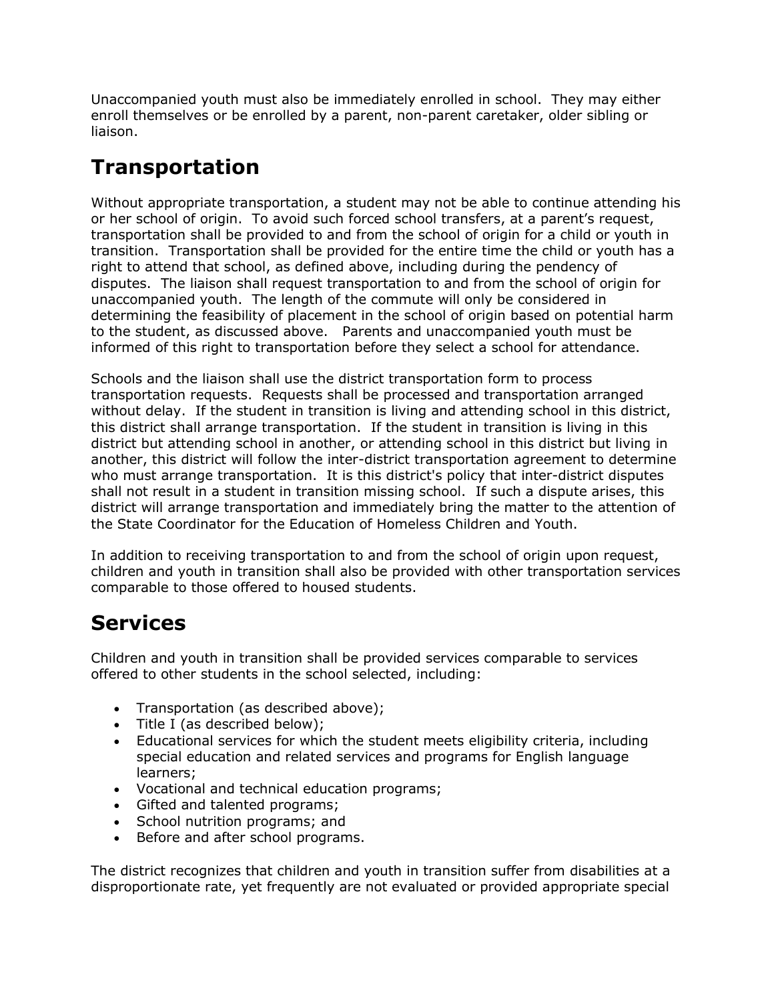Unaccompanied youth must also be immediately enrolled in school. They may either enroll themselves or be enrolled by a parent, non-parent caretaker, older sibling or liaison.

## **Transportation**

Without appropriate transportation, a student may not be able to continue attending his or her school of origin. To avoid such forced school transfers, at a parent's request, transportation shall be provided to and from the school of origin for a child or youth in transition. Transportation shall be provided for the entire time the child or youth has a right to attend that school, as defined above, including during the pendency of disputes. The liaison shall request transportation to and from the school of origin for unaccompanied youth. The length of the commute will only be considered in determining the feasibility of placement in the school of origin based on potential harm to the student, as discussed above. Parents and unaccompanied youth must be informed of this right to transportation before they select a school for attendance.

Schools and the liaison shall use the district transportation form to process transportation requests. Requests shall be processed and transportation arranged without delay. If the student in transition is living and attending school in this district, this district shall arrange transportation. If the student in transition is living in this district but attending school in another, or attending school in this district but living in another, this district will follow the inter-district transportation agreement to determine who must arrange transportation. It is this district's policy that inter-district disputes shall not result in a student in transition missing school. If such a dispute arises, this district will arrange transportation and immediately bring the matter to the attention of the State Coordinator for the Education of Homeless Children and Youth.

In addition to receiving transportation to and from the school of origin upon request, children and youth in transition shall also be provided with other transportation services comparable to those offered to housed students.

### **Services**

Children and youth in transition shall be provided services comparable to services offered to other students in the school selected, including:

- Transportation (as described above);
- Title I (as described below);
- Educational services for which the student meets eligibility criteria, including special education and related services and programs for English language learners;
- Vocational and technical education programs;
- Gifted and talented programs;
- School nutrition programs; and
- Before and after school programs.

The district recognizes that children and youth in transition suffer from disabilities at a disproportionate rate, yet frequently are not evaluated or provided appropriate special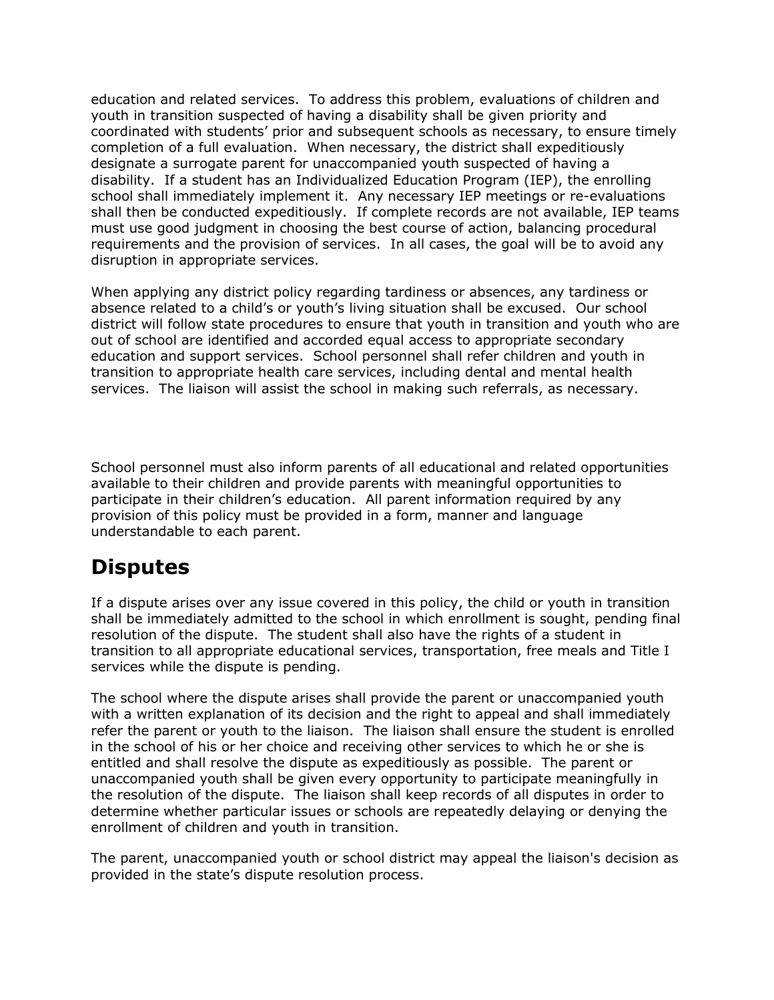education and related services. To address this problem, evaluations of children and youth in transition suspected of having a disability shall be given priority and coordinated with students' prior and subsequent schools as necessary, to ensure timely completion of a full evaluation. When necessary, the district shall expeditiously designate a surrogate parent for unaccompanied youth suspected of having a disability. If a student has an Individualized Education Program (IEP), the enrolling school shall immediately implement it. Any necessary IEP meetings or re-evaluations shall then be conducted expeditiously. If complete records are not available, IEP teams must use good judgment in choosing the best course of action, balancing procedural requirements and the provision of services. In all cases, the goal will be to avoid any disruption in appropriate services.

When applying any district policy regarding tardiness or absences, any tardiness or absence related to a child's or youth's living situation shall be excused. Our school district will follow state procedures to ensure that youth in transition and youth who are out of school are identified and accorded equal access to appropriate secondary education and support services. School personnel shall refer children and youth in transition to appropriate health care services, including dental and mental health services. The liaison will assist the school in making such referrals, as necessary.

School personnel must also inform parents of all educational and related opportunities available to their children and provide parents with meaningful opportunities to participate in their children's education. All parent information required by any provision of this policy must be provided in a form, manner and language understandable to each parent.

#### **Disputes**

If a dispute arises over any issue covered in this policy, the child or youth in transition shall be immediately admitted to the school in which enrollment is sought, pending final resolution of the dispute. The student shall also have the rights of a student in transition to all appropriate educational services, transportation, free meals and Title I services while the dispute is pending.

The school where the dispute arises shall provide the parent or unaccompanied youth with a written explanation of its decision and the right to appeal and shall immediately refer the parent or youth to the liaison. The liaison shall ensure the student is enrolled in the school of his or her choice and receiving other services to which he or she is entitled and shall resolve the dispute as expeditiously as possible. The parent or unaccompanied youth shall be given every opportunity to participate meaningfully in the resolution of the dispute. The liaison shall keep records of all disputes in order to determine whether particular issues or schools are repeatedly delaying or denying the enrollment of children and youth in transition.

The parent, unaccompanied youth or school district may appeal the liaison's decision as provided in the state's dispute resolution process.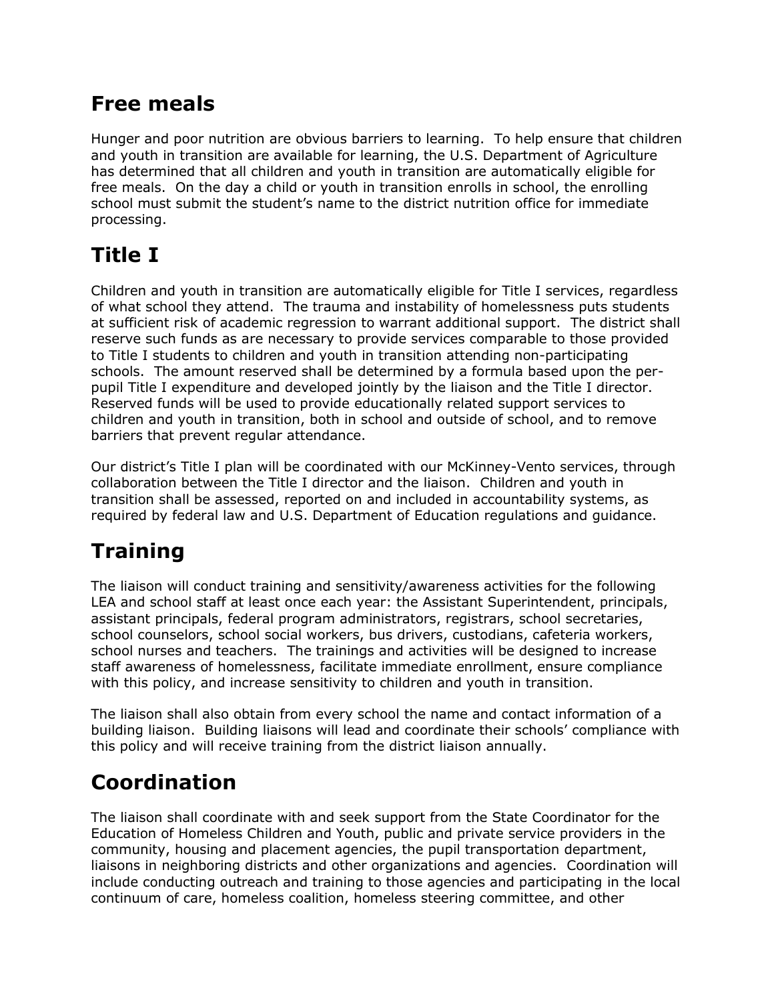### **Free meals**

Hunger and poor nutrition are obvious barriers to learning. To help ensure that children and youth in transition are available for learning, the U.S. Department of Agriculture has determined that all children and youth in transition are automatically eligible for free meals. On the day a child or youth in transition enrolls in school, the enrolling school must submit the student's name to the district nutrition office for immediate processing.

# **Title I**

Children and youth in transition are automatically eligible for Title I services, regardless of what school they attend. The trauma and instability of homelessness puts students at sufficient risk of academic regression to warrant additional support. The district shall reserve such funds as are necessary to provide services comparable to those provided to Title I students to children and youth in transition attending non-participating schools. The amount reserved shall be determined by a formula based upon the perpupil Title I expenditure and developed jointly by the liaison and the Title I director. Reserved funds will be used to provide educationally related support services to children and youth in transition, both in school and outside of school, and to remove barriers that prevent regular attendance.

Our district's Title I plan will be coordinated with our McKinney-Vento services, through collaboration between the Title I director and the liaison. Children and youth in transition shall be assessed, reported on and included in accountability systems, as required by federal law and U.S. Department of Education regulations and guidance.

# **Training**

The liaison will conduct training and sensitivity/awareness activities for the following LEA and school staff at least once each year: the Assistant Superintendent, principals, assistant principals, federal program administrators, registrars, school secretaries, school counselors, school social workers, bus drivers, custodians, cafeteria workers, school nurses and teachers. The trainings and activities will be designed to increase staff awareness of homelessness, facilitate immediate enrollment, ensure compliance with this policy, and increase sensitivity to children and youth in transition.

The liaison shall also obtain from every school the name and contact information of a building liaison. Building liaisons will lead and coordinate their schools' compliance with this policy and will receive training from the district liaison annually.

# **Coordination**

The liaison shall coordinate with and seek support from the State Coordinator for the Education of Homeless Children and Youth, public and private service providers in the community, housing and placement agencies, the pupil transportation department, liaisons in neighboring districts and other organizations and agencies. Coordination will include conducting outreach and training to those agencies and participating in the local continuum of care, homeless coalition, homeless steering committee, and other